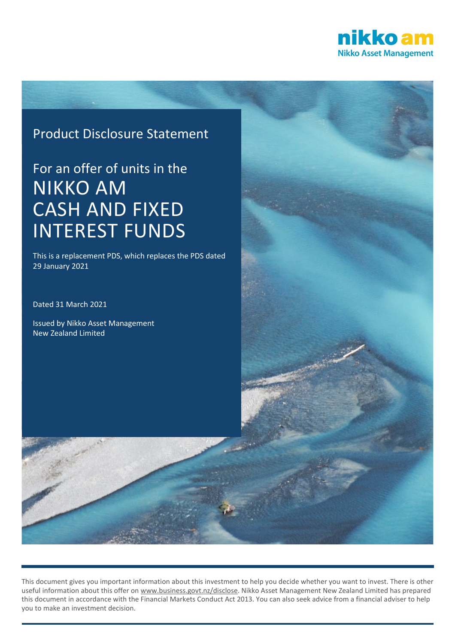

# Product Disclosure Statement

# For an offer of units in the NIKKO AM CASH AND FIXED INTEREST FUNDS

This is a replacement PDS, which replaces the PDS dated 29 January 2021

Dated 31 March 2021

Issued by Nikko Asset Management New Zealand Limited



This document gives you important information about this investment to help you decide whether you want to invest. There is other useful information about this offer on [www.business.govt.nz/disclose.](http://www.business.govt.nz/disclose) Nikko Asset Management New Zealand Limited has prepared this document in accordance with the Financial Markets Conduct Act 2013. You can also seek advice from a financial adviser to help you to make an investment decision.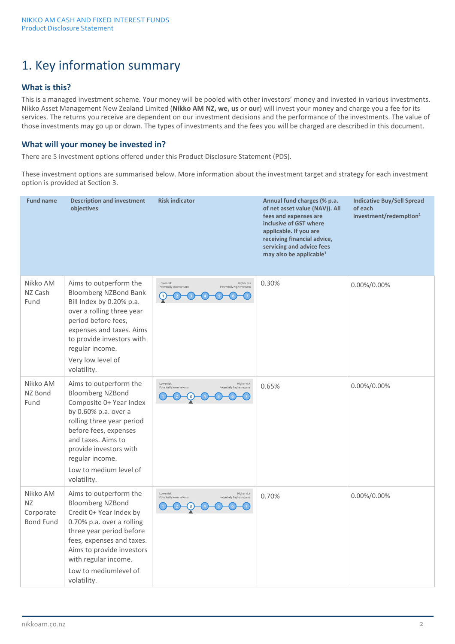# 1. Key information summary

# **What is this?**

This is a managed investment scheme. Your money will be pooled with other investors' money and invested in various investments. Nikko Asset Management New Zealand Limited (**Nikko AM NZ, we, us** or **our**) will invest your money and charge you a fee for its services. The returns you receive are dependent on our investment decisions and the performance of the investments. The value of those investments may go up or down. The types of investments and the fees you will be charged are described in this document.

### **What will your money be invested in?**

There are 5 investment options offered under this Product Disclosure Statement (PDS).

These investment options are summarised below. More information about the investment target and strategy for each investment option is provided at Section 3.

| <b>Fund name</b>                                | <b>Description and investment</b><br>objectives                                                                                                                                                                                                                        | <b>Risk indicator</b>                                                                | Annual fund charges (% p.a.<br>of net asset value (NAV)). All<br>fees and expenses are<br>inclusive of GST where<br>applicable. If you are<br>receiving financial advice,<br>servicing and advice fees<br>may also be applicable <sup>1</sup> | <b>Indicative Buy/Sell Spread</b><br>of each<br>investment/redemption <sup>2</sup> |
|-------------------------------------------------|------------------------------------------------------------------------------------------------------------------------------------------------------------------------------------------------------------------------------------------------------------------------|--------------------------------------------------------------------------------------|-----------------------------------------------------------------------------------------------------------------------------------------------------------------------------------------------------------------------------------------------|------------------------------------------------------------------------------------|
| Nikko AM<br>NZ Cash<br>Fund                     | Aims to outperform the<br><b>Bloomberg NZBond Bank</b><br>Bill Index by 0.20% p.a.<br>over a rolling three year<br>period before fees,<br>expenses and taxes. Aims<br>to provide investors with<br>regular income.<br>Very low level of<br>volatility.                 | Higher risk<br>Lower risk<br>Potentially lower returns<br>Potentially higher returns | 0.30%                                                                                                                                                                                                                                         | 0.00%/0.00%                                                                        |
| Nikko AM<br>NZ Bond<br>Fund                     | Aims to outperform the<br><b>Bloomberg NZBond</b><br>Composite 0+ Year Index<br>by 0.60% p.a. over a<br>rolling three year period<br>before fees, expenses<br>and taxes. Aims to<br>provide investors with<br>regular income.<br>Low to medium level of<br>volatility. | Lower risk<br>Higher risk<br>Potentially lower returns<br>Potentially higher returns | 0.65%                                                                                                                                                                                                                                         | 0.00%/0.00%                                                                        |
| Nikko AM<br>ΝZ<br>Corporate<br><b>Bond Fund</b> | Aims to outperform the<br><b>Bloomberg NZBond</b><br>Credit 0+ Year Index by<br>0.70% p.a. over a rolling<br>three year period before<br>fees, expenses and taxes.<br>Aims to provide investors<br>with regular income.<br>Low to mediumlevel of<br>volatility.        | Higher risk<br>Lower risk<br>Potentially lower returns<br>Potentially higher returns | 0.70%                                                                                                                                                                                                                                         | 0.00%/0.00%                                                                        |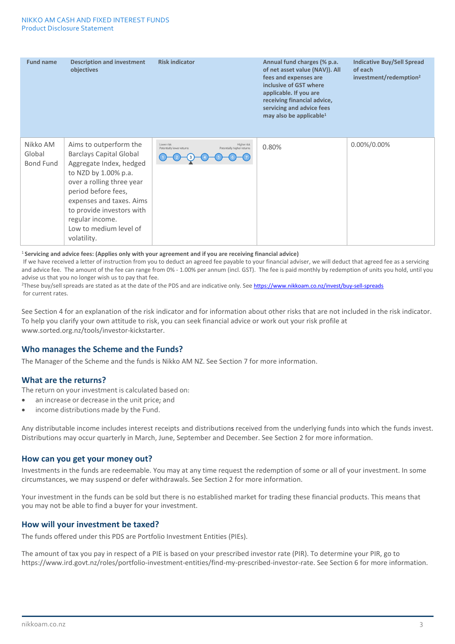| <b>Fund name</b>                | <b>Description and investment</b><br>objectives                                                                                                                                                                                                                                      | <b>Risk indicator</b>                                                                | Annual fund charges (% p.a.<br>of net asset value (NAV)). All<br>fees and expenses are<br>inclusive of GST where<br>applicable. If you are<br>receiving financial advice,<br>servicing and advice fees<br>may also be applicable <sup>1</sup> | <b>Indicative Buy/Sell Spread</b><br>of each<br>investment/redemption <sup>2</sup> |
|---------------------------------|--------------------------------------------------------------------------------------------------------------------------------------------------------------------------------------------------------------------------------------------------------------------------------------|--------------------------------------------------------------------------------------|-----------------------------------------------------------------------------------------------------------------------------------------------------------------------------------------------------------------------------------------------|------------------------------------------------------------------------------------|
| Nikko AM<br>Global<br>Bond Fund | Aims to outperform the<br><b>Barclays Capital Global</b><br>Aggregate Index, hedged<br>to NZD by 1.00% p.a.<br>over a rolling three year<br>period before fees,<br>expenses and taxes. Aims<br>to provide investors with<br>regular income.<br>Low to medium level of<br>volatility. | Lower risk<br>Higher risk<br>Potentially lower returns<br>Potentially higher returns | 0.80%                                                                                                                                                                                                                                         | 0.00%/0.00%                                                                        |

<sup>1</sup>**Servicing and advice fees: (Applies only with your agreement and if you are receiving financial advice)** 

If we have received a letter of instruction from you to deduct an agreed fee payable to your financial adviser, we will deduct that agreed fee as a servicing and advice fee. The amount of the fee can range from 0% - 1.00% per annum (incl. GST). The fee is paid monthly by redemption of units you hold, until you advise us that you no longer wish us to pay that fee.<br><sup>2</sup>These buy/sell spreads are stated as at the date of the PDS and are indicative only. See <https://www.nikkoam.co.nz/invest/buy-sell-spreads>

for current rates.

See Section 4 for an explanation of the risk indicator and for information about other risks that are not included in the risk indicator. To help you clarify your own attitude to risk, you can seek financial advice or work out your risk profile at www.sorted.org.nz/tools/investor-kickstarter.

### **Who manages the Scheme and the Funds?**

The Manager of the Scheme and the funds is Nikko AM NZ. See Section 7 for more information.

### **What are the returns?**

The return on your investment is calculated based on:

- an increase or decrease in the unit price; and
- income distributions made by the Fund.

Any distributable income includes interest receipts and distributions received from the underlying funds into which the funds invest. Distributions may occur quarterly in March, June, September and December. See Section 2 for more information.

### **How can you get your money out?**

Investments in the funds are redeemable. You may at any time request the redemption of some or all of your investment. In some circumstances, we may suspend or defer withdrawals. See Section 2 for more information.

Your investment in the funds can be sold but there is no established market for trading these financial products. This means that you may not be able to find a buyer for your investment.

### **How will your investment be taxed?**

The funds offered under this PDS are Portfolio Investment Entities (PIEs).

The amount of tax you pay in respect of a PIE is based on your prescribed investor rate (PIR). To determine your PIR, go to https://www.ird.govt.nz/roles/portfolio-investment-entities/find-my-prescribed-investor-rate. See Section 6 for more information.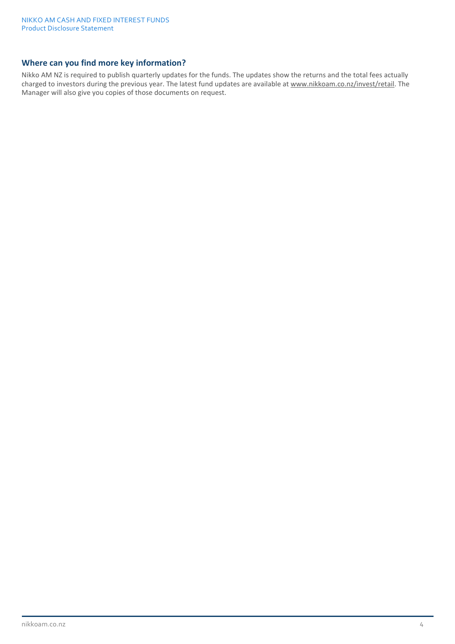### **Where can you find more key information?**

Nikko AM NZ is required to publish quarterly updates for the funds. The updates show the returns and the total fees actually charged to investors during the previous year. The latest fund updates are available at www.nikkoam.co.nz/invest/retail. The Manager will also give you copies of those documents on request.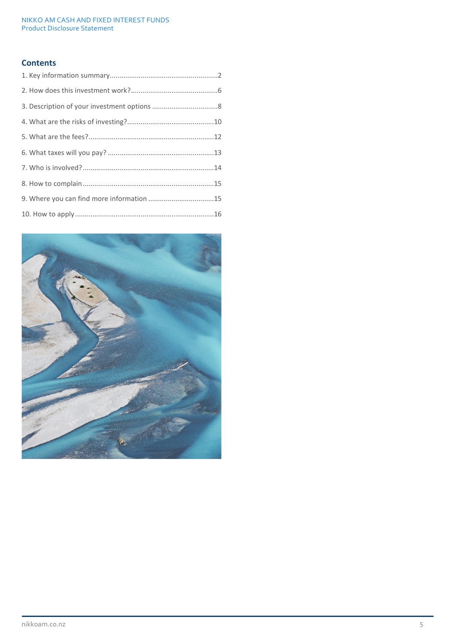# **Contents**

| 9. Where you can find more information 15 |  |
|-------------------------------------------|--|
|                                           |  |

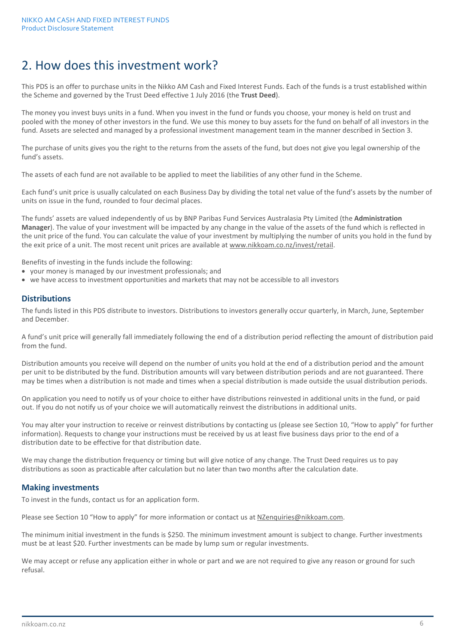# 2. How does this investment work?

This PDS is an offer to purchase units in the Nikko AM Cash and Fixed Interest Funds. Each of the funds is a trust established within the Scheme and governed by the Trust Deed effective 1 July 2016 (the **Trust Deed**).

The money you invest buys units in a fund. When you invest in the fund or funds you choose, your money is held on trust and pooled with the money of other investors in the fund. We use this money to buy assets for the fund on behalf of all investors in the fund. Assets are selected and managed by a professional investment management team in the manner described in Section 3.

The purchase of units gives you the right to the returns from the assets of the fund, but does not give you legal ownership of the fund's assets.

The assets of each fund are not available to be applied to meet the liabilities of any other fund in the Scheme.

Each fund's unit price is usually calculated on each Business Day by dividing the total net value of the fund's assets by the number of units on issue in the fund, rounded to four decimal places.

The funds' assets are valued independently of us by BNP Paribas Fund Services Australasia Pty Limited (the **Administration Manager**). The value of your investment will be impacted by any change in the value of the assets of the fund which is reflected in the unit price of the fund. You can calculate the value of your investment by multiplying the number of units you hold in the fund by the exit price of a unit. The most recent unit prices are available at www.nikkoam.co.nz/invest/retail.

Benefits of investing in the funds include the following:

- your money is managed by our investment professionals; and
- we have access to investment opportunities and markets that may not be accessible to all investors

#### **Distributions**

The funds listed in this PDS distribute to investors. Distributions to investors generally occur quarterly, in March, June, September and December.

A fund's unit price will generally fall immediately following the end of a distribution period reflecting the amount of distribution paid from the fund.

Distribution amounts you receive will depend on the number of units you hold at the end of a distribution period and the amount per unit to be distributed by the fund. Distribution amounts will vary between distribution periods and are not guaranteed. There may be times when a distribution is not made and times when a special distribution is made outside the usual distribution periods.

On application you need to notify us of your choice to either have distributions reinvested in additional units in the fund, or paid out. If you do not notify us of your choice we will automatically reinvest the distributions in additional units.

You may alter your instruction to receive or reinvest distributions by contacting us (please see Section 10, "How to apply" for further information). Requests to change your instructions must be received by us at least five business days prior to the end of a distribution date to be effective for that distribution date.

We may change the distribution frequency or timing but will give notice of any change. The Trust Deed requires us to pay distributions as soon as practicable after calculation but no later than two months after the calculation date.

### **Making investments**

To invest in the funds, contact us for an application form.

Please see Section 10 "How to apply" for more information or contact us a[t NZenquiries@nikkoam.com.](mailto:NZenquiries@nikkoam.com)

The minimum initial investment in the funds is \$250. The minimum investment amount is subject to change. Further investments must be at least \$20. Further investments can be made by lump sum or regular investments.

We may accept or refuse any application either in whole or part and we are not required to give any reason or ground for such refusal.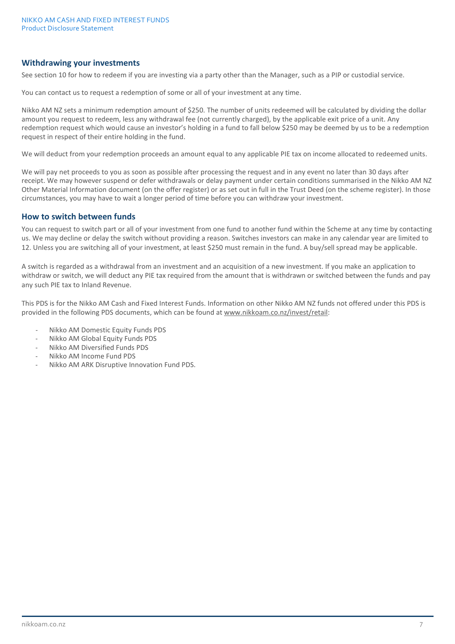### **Withdrawing your investments**

See section 10 for how to redeem if you are investing via a party other than the Manager, such as a PIP or custodial service.

You can contact us to request a redemption of some or all of your investment at any time.

Nikko AM NZ sets a minimum redemption amount of \$250. The number of units redeemed will be calculated by dividing the dollar amount you request to redeem, less any withdrawal fee (not currently charged), by the applicable exit price of a unit. Any redemption request which would cause an investor's holding in a fund to fall below \$250 may be deemed by us to be a redemption request in respect of their entire holding in the fund.

We will deduct from your redemption proceeds an amount equal to any applicable PIE tax on income allocated to redeemed units.

We will pay net proceeds to you as soon as possible after processing the request and in any event no later than 30 days after receipt. We may however suspend or defer withdrawals or delay payment under certain conditions summarised in the Nikko AM NZ Other Material Information document (on the offer register) or as set out in full in the Trust Deed (on the scheme register). In those circumstances, you may have to wait a longer period of time before you can withdraw your investment.

#### **How to switch between funds**

You can request to switch part or all of your investment from one fund to another fund within the Scheme at any time by contacting us. We may decline or delay the switch without providing a reason. Switches investors can make in any calendar year are limited to 12. Unless you are switching all of your investment, at least \$250 must remain in the fund. A buy/sell spread may be applicable.

A switch is regarded as a withdrawal from an investment and an acquisition of a new investment. If you make an application to withdraw or switch, we will deduct any PIE tax required from the amount that is withdrawn or switched between the funds and pay any such PIE tax to Inland Revenue.

This PDS is for the Nikko AM Cash and Fixed Interest Funds. Information on other Nikko AM NZ funds not offered under this PDS is provided in the following PDS documents, which can be found at www.nikkoam.co.nz/invest/retail:

- Nikko AM Domestic Equity Funds PDS
- Nikko AM Global Equity Funds PDS
- Nikko AM Diversified Funds PDS
- Nikko AM Income Fund PDS
- Nikko AM ARK Disruptive Innovation Fund PDS.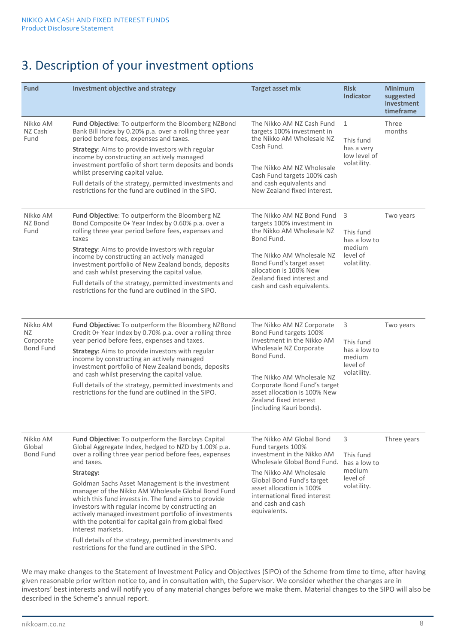# 3. Description of your investment options

| <b>Fund</b>                                      | Investment objective and strategy                                                                                                                                                                                                                                                                                                                                                                                                                                                                                                                                                                                                                                            | <b>Target asset mix</b>                                                                                                                                                                                                                                                      | <b>Risk</b><br><b>Indicator</b>                                        | <b>Minimum</b><br>suggested<br>investment<br>timeframe |
|--------------------------------------------------|------------------------------------------------------------------------------------------------------------------------------------------------------------------------------------------------------------------------------------------------------------------------------------------------------------------------------------------------------------------------------------------------------------------------------------------------------------------------------------------------------------------------------------------------------------------------------------------------------------------------------------------------------------------------------|------------------------------------------------------------------------------------------------------------------------------------------------------------------------------------------------------------------------------------------------------------------------------|------------------------------------------------------------------------|--------------------------------------------------------|
| Nikko AM<br>NZ Cash<br>Fund                      | Fund Objective: To outperform the Bloomberg NZBond<br>Bank Bill Index by 0.20% p.a. over a rolling three year<br>period before fees, expenses and taxes.<br>Strategy: Aims to provide investors with regular<br>income by constructing an actively managed<br>investment portfolio of short term deposits and bonds<br>whilst preserving capital value.<br>Full details of the strategy, permitted investments and<br>restrictions for the fund are outlined in the SIPO.                                                                                                                                                                                                    | The Nikko AM NZ Cash Fund<br>targets 100% investment in<br>the Nikko AM Wholesale NZ<br>Cash Fund.<br>The Nikko AM NZ Wholesale<br>Cash Fund targets 100% cash<br>and cash equivalents and<br>New Zealand fixed interest.                                                    | $\mathbf{1}$<br>This fund<br>has a very<br>low level of<br>volatility. | Three<br>months                                        |
| Nikko AM<br>NZ Bond<br>Fund                      | Fund Objective: To outperform the Bloomberg NZ<br>Bond Composite 0+ Year Index by 0.60% p.a. over a<br>rolling three year period before fees, expenses and<br>taxes<br><b>Strategy:</b> Aims to provide investors with regular<br>income by constructing an actively managed<br>investment portfolio of New Zealand bonds, deposits<br>and cash whilst preserving the capital value.<br>Full details of the strategy, permitted investments and<br>restrictions for the fund are outlined in the SIPO.                                                                                                                                                                       | The Nikko AM NZ Bond Fund<br>targets 100% investment in<br>the Nikko AM Wholesale NZ<br>Bond Fund.<br>The Nikko AM Wholesale NZ<br>Bond Fund's target asset<br>allocation is 100% New<br>Zealand fixed interest and<br>cash and cash equivalents.                            | 3<br>This fund<br>has a low to<br>medium<br>level of<br>volatility.    | Two years                                              |
| Nikko AM<br>NZ.<br>Corporate<br><b>Bond Fund</b> | Fund Objective: To outperform the Bloomberg NZBond<br>Credit 0+ Year Index by 0.70% p.a. over a rolling three<br>year period before fees, expenses and taxes.<br>Strategy: Aims to provide investors with regular<br>income by constructing an actively managed<br>investment portfolio of New Zealand bonds, deposits<br>and cash whilst preserving the capital value.<br>Full details of the strategy, permitted investments and<br>restrictions for the fund are outlined in the SIPO.                                                                                                                                                                                    | The Nikko AM NZ Corporate<br>Bond Fund targets 100%<br>investment in the Nikko AM<br>Wholesale NZ Corporate<br>Bond Fund.<br>The Nikko AM Wholesale NZ<br>Corporate Bond Fund's target<br>asset allocation is 100% New<br>Zealand fixed interest<br>(including Kauri bonds). | 3<br>This fund<br>has a low to<br>medium<br>level of<br>volatility.    | Two years                                              |
| Nikko AM<br>Global<br><b>Bond Fund</b>           | Fund Objective: To outperform the Barclays Capital<br>Global Aggregate Index, hedged to NZD by 1.00% p.a.<br>over a rolling three year period before fees, expenses<br>and taxes.<br>Strategy:<br>Goldman Sachs Asset Management is the investment<br>manager of the Nikko AM Wholesale Global Bond Fund<br>which this fund invests in. The fund aims to provide<br>investors with regular income by constructing an<br>actively managed investment portfolio of investments<br>with the potential for capital gain from global fixed<br>interest markets.<br>Full details of the strategy, permitted investments and<br>restrictions for the fund are outlined in the SIPO. | The Nikko AM Global Bond<br>Fund targets 100%<br>investment in the Nikko AM<br>Wholesale Global Bond Fund.<br>The Nikko AM Wholesale<br>Global Bond Fund's target<br>asset allocation is 100%<br>international fixed interest<br>and cash and cash<br>equivalents.           | 3<br>This fund<br>has a low to<br>medium<br>level of<br>volatility.    | Three years                                            |

We may make changes to the Statement of Investment Policy and Objectives (SIPO) of the Scheme from time to time, after having given reasonable prior written notice to, and in consultation with, the Supervisor. We consider whether the changes are in investors' best interests and will notify you of any material changes before we make them. Material changes to the SIPO will also be described in the Scheme's annual report.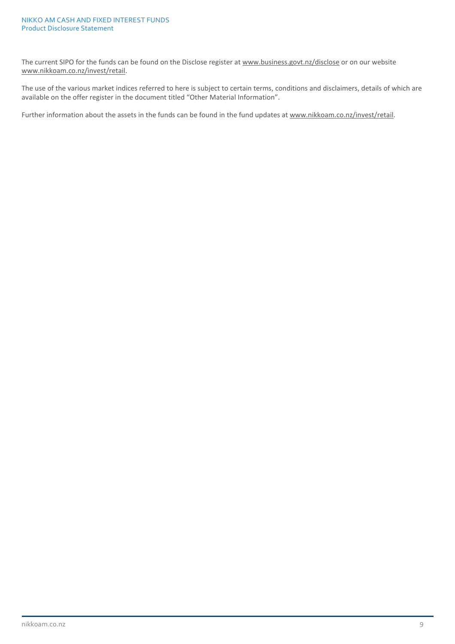The current SIPO for the funds can be found on the Disclose register at [www.business.govt.nz/disclose](http://www.business.govt.nz/disclose) or on our website www.nikkoam.co.nz/invest/retail.

The use of the various market indices referred to here is subject to certain terms, conditions and disclaimers, details of which are available on the offer register in the document titled "Other Material Information".

Further information about the assets in the funds can be found in the fund updates at www.nikkoam.co.nz/invest/retail.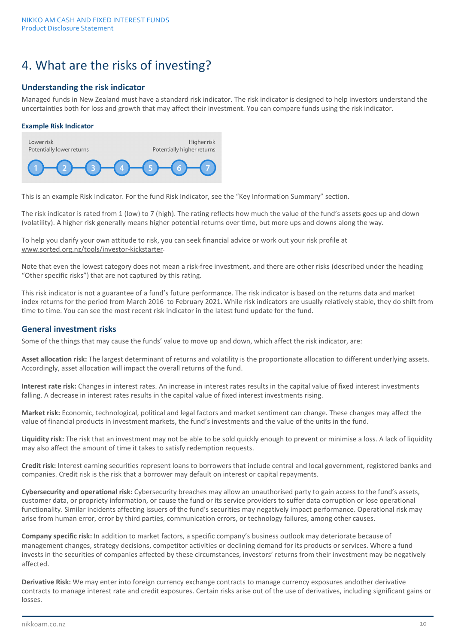# 4. What are the risks of investing?

## **Understanding the risk indicator**

Managed funds in New Zealand must have a standard risk indicator. The risk indicator is designed to help investors understand the uncertainties both for loss and growth that may affect their investment. You can compare funds using the risk indicator.

#### **Example Risk Indicator**



This is an example Risk Indicator. For the fund Risk Indicator, see the "Key Information Summary" section.

The risk indicator is rated from 1 (low) to 7 (high). The rating reflects how much the value of the fund's assets goes up and down (volatility). A higher risk generally means higher potential returns over time, but more ups and downs along the way.

To help you clarify your own attitude to risk, you can seek financial advice or work out your risk profile at [www.sorted.org.nz/tools/investor-kickstarter.](http://www.sorted.org.nz/tools/investor-kickstarter)

Note that even the lowest category does not mean a risk-free investment, and there are other risks (described under the heading "Other specific risks") that are not captured by this rating.

This risk indicator is not a guarantee of a fund's future performance. The risk indicator is based on the returns data and market index returns for the period from March 2016 to February 2021. While risk indicators are usually relatively stable, they do shift from time to time. You can see the most recent risk indicator in the latest fund update for the fund.

### **General investment risks**

Some of the things that may cause the funds' value to move up and down, which affect the risk indicator, are:

**Asset allocation risk:** The largest determinant of returns and volatility is the proportionate allocation to different underlying assets. Accordingly, asset allocation will impact the overall returns of the fund.

**Interest rate risk:** Changes in interest rates. An increase in interest rates results in the capital value of fixed interest investments falling. A decrease in interest rates results in the capital value of fixed interest investments rising.

**Market risk:** Economic, technological, political and legal factors and market sentiment can change. These changes may affect the value of financial products in investment markets, the fund's investments and the value of the units in the fund.

**Liquidity risk:** The risk that an investment may not be able to be sold quickly enough to prevent or minimise a loss. A lack of liquidity may also affect the amount of time it takes to satisfy redemption requests.

**Credit risk:** Interest earning securities represent loans to borrowers that include central and local government, registered banks and companies. Credit risk is the risk that a borrower may default on interest or capital repayments.

**Cybersecurity and operational risk:** Cybersecurity breaches may allow an unauthorised party to gain access to the fund's assets, customer data, or propriety information, or cause the fund or its service providers to suffer data corruption or lose operational functionality. Similar incidents affecting issuers of the fund's securities may negatively impact performance. Operational risk may arise from human error, error by third parties, communication errors, or technology failures, among other causes.

**Company specific risk:** In addition to market factors, a specific company's business outlook may deteriorate because of management changes, strategy decisions, competitor activities or declining demand for its products or services. Where a fund invests in the securities of companies affected by these circumstances, investors' returns from their investment may be negatively affected.

**Derivative Risk:** We may enter into foreign currency exchange contracts to manage currency exposures andother derivative contracts to manage interest rate and credit exposures. Certain risks arise out of the use of derivatives, including significant gains or losses.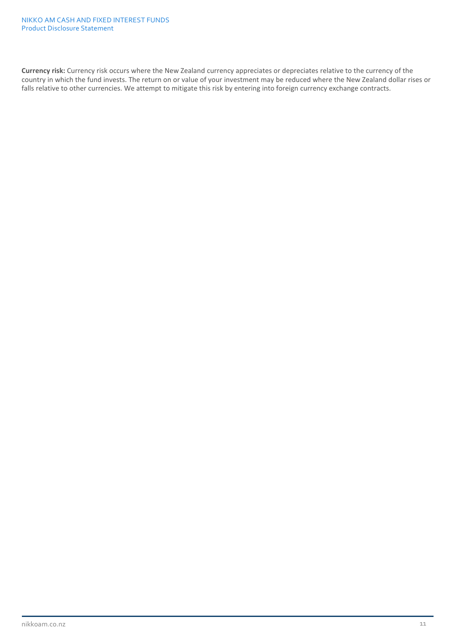**Currency risk:** Currency risk occurs where the New Zealand currency appreciates or depreciates relative to the currency of the country in which the fund invests. The return on or value of your investment may be reduced where the New Zealand dollar rises or falls relative to other currencies. We attempt to mitigate this risk by entering into foreign currency exchange contracts.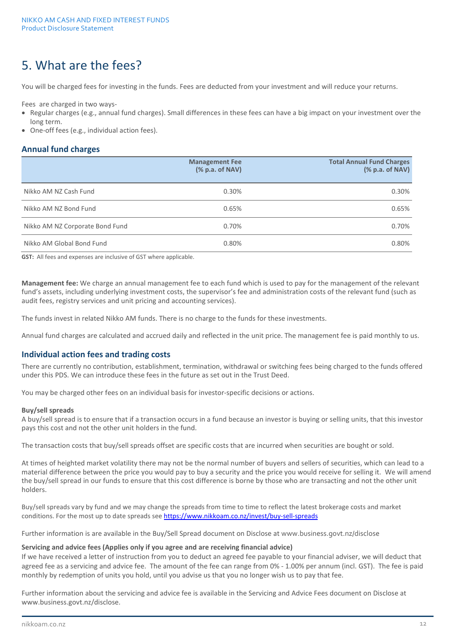# 5. What are the fees?

You will be charged fees for investing in the funds. Fees are deducted from your investment and will reduce your returns.

Fees are charged in two ways-

- Regular charges (e.g., annual fund charges). Small differences in these fees can have a big impact on your investment over the long term.
- One-off fees (e.g., individual action fees).

### **Annual fund charges**

|                                 | <b>Management Fee</b><br>(% p.a. of NAV) | <b>Total Annual Fund Charges</b><br>% p.a. of NAV) |
|---------------------------------|------------------------------------------|----------------------------------------------------|
| Nikko AM NZ Cash Fund           | 0.30%                                    | 0.30%                                              |
| Nikko AM NZ Bond Fund           | 0.65%                                    | 0.65%                                              |
| Nikko AM NZ Corporate Bond Fund | 0.70%                                    | 0.70%                                              |
| Nikko AM Global Bond Fund       | 0.80%                                    | 0.80%                                              |

**GST:** All fees and expenses are inclusive of GST where applicable.

**Management fee:** We charge an annual management fee to each fund which is used to pay for the management of the relevant fund's assets, including underlying investment costs, the supervisor's fee and administration costs of the relevant fund (such as audit fees, registry services and unit pricing and accounting services).

The funds invest in related Nikko AM funds. There is no charge to the funds for these investments.

Annual fund charges are calculated and accrued daily and reflected in the unit price. The management fee is paid monthly to us.

### **Individual action fees and trading costs**

There are currently no contribution, establishment, termination, withdrawal or switching fees being charged to the funds offered under this PDS. We can introduce these fees in the future as set out in the Trust Deed.

You may be charged other fees on an individual basis for investor-specific decisions or actions.

#### **Buy/sell spreads**

A buy/sell spread is to ensure that if a transaction occurs in a fund because an investor is buying or selling units, that this investor pays this cost and not the other unit holders in the fund.

The transaction costs that buy/sell spreads offset are specific costs that are incurred when securities are bought or sold.

At times of heighted market volatility there may not be the normal number of buyers and sellers of securities, which can lead to a material difference between the price you would pay to buy a security and the price you would receive for selling it. We will amend the buy/sell spread in our funds to ensure that this cost difference is borne by those who are transacting and not the other unit holders.

Buy/sell spreads vary by fund and we may change the spreads from time to time to reflect the latest brokerage costs and market conditions. For the most up to date spreads see <https://www.nikkoam.co.nz/invest/buy-sell-spreads>

Further information is are available in the Buy/Sell Spread document on Disclose at [www.business.govt.nz/disclose](http://www.business.govt.nz/disclose)

#### **Servicing and advice fees (Applies only if you agree and are receiving financial advice)**

If we have received a letter of instruction from you to deduct an agreed fee payable to your financial adviser, we will deduct that agreed fee as a servicing and advice fee. The amount of the fee can range from 0% - 1.00% per annum (incl. GST). The fee is paid monthly by redemption of units you hold, until you advise us that you no longer wish us to pay that fee.

Further information about the servicing and advice fee is available in the Servicing and Advice Fees document on Disclose at [www.business.govt.nz/disclose.](http://www.business.govt.nz/disclose)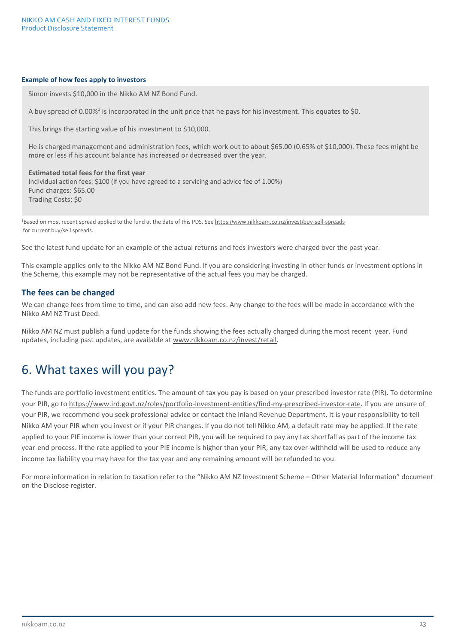#### **Example of how fees apply to investors**

Simon invests \$10,000 in the Nikko AM NZ Bond Fund.

A buy spread of 0.00%<sup>1</sup> is incorporated in the unit price that he pays for his investment. This equates to \$0.

This brings the starting value of his investment to \$10,000.

He is charged management and administration fees, which work out to about \$65.00 (0.65% of \$10,000). These fees might be more or less if his account balance has increased or decreased over the year.

#### **Estimated total fees for the first year** Individual action fees: \$100 (if you have agreed to a servicing and advice fee of 1.00%) Fund charges: \$65.00 Trading Costs: \$0

1Based on most recent spread applied to the fund at the date of this PDS. See h[ttps://www.nikkoam.co.nz/invest/buy-sell-spreads](https://www.nikkoam.co.nz/invest/buy-sell-spreads) for current buy/sell spreads.

See the latest fund update for an example of the actual returns and fees investors were charged over the past year.

This example applies only to the Nikko AM NZ Bond Fund. If you are considering investing in other funds or investment options in the Scheme, this example may not be representative of the actual fees you may be charged.

### **The fees can be changed**

We can change fees from time to time, and can also add new fees. Any change to the fees will be made in accordance with the Nikko AM NZ Trust Deed.

Nikko AM NZ must publish a fund update for the funds showing the fees actually charged during the most recent year. Fund updates, including past updates, are available at www.nikkoam.co.nz/invest/retail.

# 6. What taxes will you pay?

The funds are portfolio investment entities. The amount of tax you pay is based on your prescribed investor rate (PIR). To determine your PIR, go to [https://www.ird.govt.nz/roles/portfolio-investment-entities/find-my-prescribed-investor-rate.](https://www.ird.govt.nz/roles/portfolio-investment-entities/find-my-prescribed-investor-rate) If you are unsure of your PIR, we recommend you seek professional advice or contact the Inland Revenue Department. It is your responsibility to tell Nikko AM your PIR when you invest or if your PIR changes. If you do not tell Nikko AM, a default rate may be applied. If the rate applied to your PIE income is lower than your correct PIR, you will be required to pay any tax shortfall as part of the income tax year-end process. If the rate applied to your PIE income is higher than your PIR, any tax over-withheld will be used to reduce any income tax liability you may have for the tax year and any remaining amount will be refunded to you.

For more information in relation to taxation refer to the "Nikko AM NZ Investment Scheme – Other Material Information" document on the Disclose register.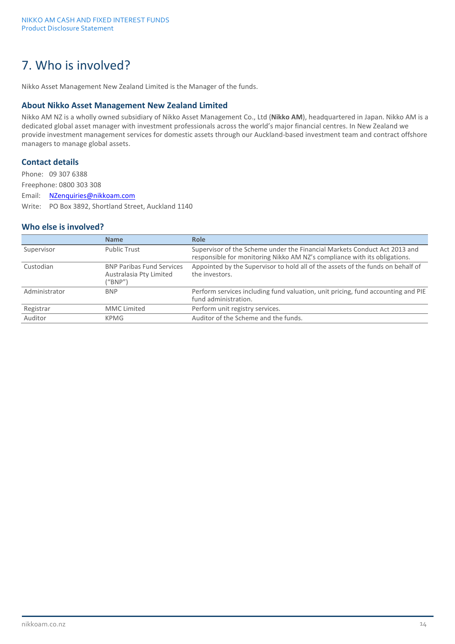# 7. Who is involved?

Nikko Asset Management New Zealand Limited is the Manager of the funds.

### **About Nikko Asset Management New Zealand Limited**

Nikko AM NZ is a wholly owned subsidiary of Nikko Asset Management Co., Ltd (**Nikko AM**), headquartered in Japan. Nikko AM is a dedicated global asset manager with investment professionals across the world's major financial centres. In New Zealand we provide investment management services for domestic assets through our Auckland-based investment team and contract offshore managers to manage global assets.

### **Contact details**

Phone: 09 307 6388 Freephone: 0800 303 308 Email: [NZenquiries@nikkoam.com](mailto:NZenquiries@nikkoam.com) Write: PO Box 3892, Shortland Street, Auckland 1140

### **Who else is involved?**

|               | <b>Name</b>                                                            | Role                                                                                                                                                   |
|---------------|------------------------------------------------------------------------|--------------------------------------------------------------------------------------------------------------------------------------------------------|
| Supervisor    | <b>Public Trust</b>                                                    | Supervisor of the Scheme under the Financial Markets Conduct Act 2013 and<br>responsible for monitoring Nikko AM NZ's compliance with its obligations. |
| Custodian     | <b>BNP Paribas Fund Services</b><br>Australasia Pty Limited<br>("BNP") | Appointed by the Supervisor to hold all of the assets of the funds on behalf of<br>the investors.                                                      |
| Administrator | <b>BNP</b>                                                             | Perform services including fund valuation, unit pricing, fund accounting and PIE<br>fund administration.                                               |
| Registrar     | <b>MMC</b> Limited                                                     | Perform unit registry services.                                                                                                                        |
| Auditor       | KPMG                                                                   | Auditor of the Scheme and the funds.                                                                                                                   |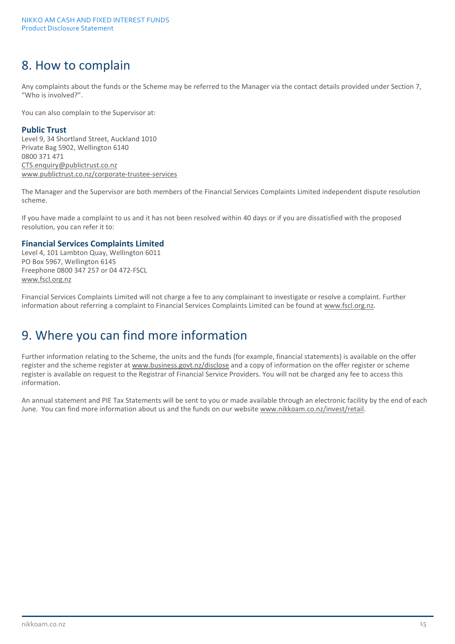# 8. How to complain

Any complaints about the funds or the Scheme may be referred to the Manager via the contact details provided under Section 7, "Who is involved?".

You can also complain to the Supervisor at:

### **Public Trust**

Level 9, 34 Shortland Street, Auckland 1010 Private Bag 5902, Wellington 6140 0800 371 471 CTS[.enquiry@publictrust.co.nz](mailto:enquiry@trustee.co.nz) [www.publictrust.co.nz/corporate-trustee-services](http://www.publictrust.co.nz/corporate-trustee-services)

The Manager and the Supervisor are both members of the Financial Services Complaints Limited independent dispute resolution scheme.

If you have made a complaint to us and it has not been resolved within 40 days or if you are dissatisfied with the proposed resolution, you can refer it to:

### **Financial Services Complaints Limited**

Level 4, 101 Lambton Quay, Wellington 6011 PO Box 5967, Wellington 6145 Freephone 0800 347 257 or 04 472-FSCL [www.fscl.org.nz](http://www.fscl.org.nz/)

Financial Services Complaints Limited will not charge a fee to any complainant to investigate or resolve a complaint. Further information about referring a complaint to Financial Services Complaints Limited can be found at [www.fscl.org.nz.](http://www.fscl.org.nz/)

# 9. Where you can find more information

Further information relating to the Scheme, the units and the funds (for example, financial statements) is available on the offer register and the scheme register a[t www.business.govt.nz/disclose](http://www.business.govt.nz/disclose) and a copy of information on the offer register or scheme register is available on request to the Registrar of Financial Service Providers. You will not be charged any fee to access this information.

An annual statement and PIE Tax Statements will be sent to you or made available through an electronic facility by the end of each June. You can find more information about us and the funds on our websit[e www.nikkoam.co.nz/invest/retail.](http://www.nikkoam.co.nz/invest/retail)